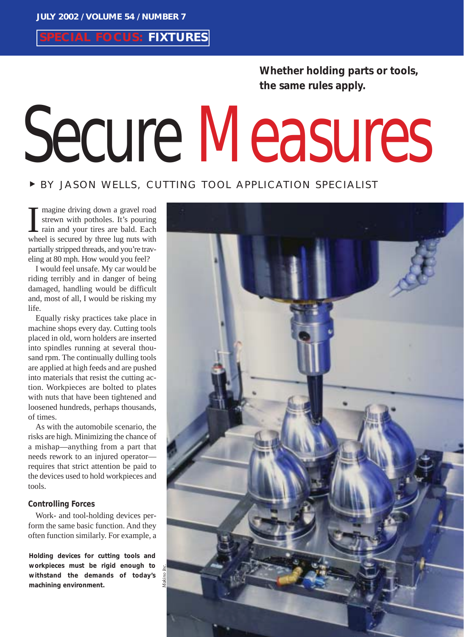**SPECIAL FOCUS: FIXTURES**

**Whether holding parts or tools, the same rules apply.** 

# Secure Measures

# <sup>❿</sup> BY JASON WELLS, CUTTING TOOL APPLICATION SPECIALIST

magine driving down a gravel road strewn with potholes. It's pouring rain and your tires are bald. Each I magine driving down a gravel road<br>strewn with potholes. It's pouring<br>rain and your tires are bald. Each<br>wheel is secured by three lug nuts with partially stripped threads, and you're traveling at 80 mph. How would you feel?

I would feel unsafe. My car would be riding terribly and in danger of being damaged, handling would be difficult and, most of all, I would be risking my life.

Equally risky practices take place in machine shops every day. Cutting tools placed in old, worn holders are inserted into spindles running at several thousand rpm. The continually dulling tools are applied at high feeds and are pushed into materials that resist the cutting action. Workpieces are bolted to plates with nuts that have been tightened and loosened hundreds, perhaps thousands, of times.

As with the automobile scenario, the risks are high. Minimizing the chance of a mishap—anything from a part that needs rework to an injured operator requires that strict attention be paid to the devices used to hold workpieces and tools.

## **Controlling Forces**

Work- and tool-holding devices perform the same basic function. And they often function similarly. For example, a

**Holding devices for cutting tools and workpieces must be rigid enough to withstand the demands of today's machining environment.**

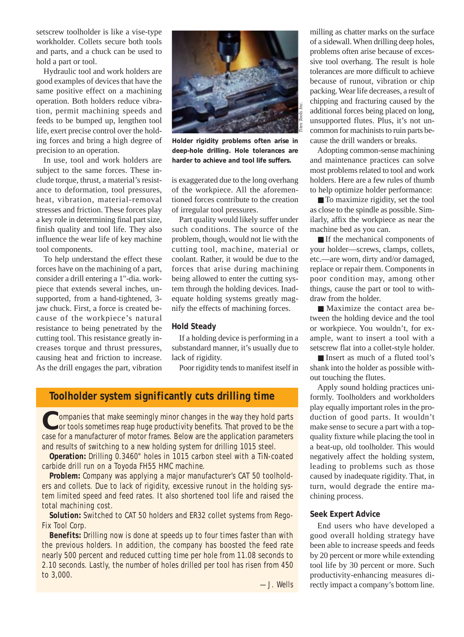setscrew toolholder is like a vise-type workholder. Collets secure both tools and parts, and a chuck can be used to hold a part or tool.

Hydraulic tool and work holders are good examples of devices that have the same positive effect on a machining operation. Both holders reduce vibration, permit machining speeds and feeds to be bumped up, lengthen tool life, exert precise control over the holding forces and bring a high degree of precision to an operation.

In use, tool and work holders are subject to the same forces. These include torque, thrust, a material's resistance to deformation, tool pressures, heat, vibration, material-removal stresses and friction. These forces play a key role in determining final part size, finish quality and tool life. They also influence the wear life of key machine tool components.

To help understand the effect these forces have on the machining of a part, consider a drill entering a 1"-dia. workpiece that extends several inches, unsupported, from a hand-tightened, 3 jaw chuck. First, a force is created because of the workpiece's natural resistance to being penetrated by the cutting tool. This resistance greatly increases torque and thrust pressures, causing heat and friction to increase. As the drill engages the part, vibration



**Holder rigidity problems often arise in deep-hole drilling. Hole tolerances are harder to achieve and tool life suffers.**

is exaggerated due to the long overhang of the workpiece. All the aforementioned forces contribute to the creation of irregular tool pressures.

Part quality would likely suffer under such conditions. The source of the problem, though, would not lie with the cutting tool, machine, material or coolant. Rather, it would be due to the forces that arise during machining being allowed to enter the cutting system through the holding devices. Inadequate holding systems greatly magnify the effects of machining forces.

### **Hold Steady**

If a holding device is performing in a substandard manner, it's usually due to lack of rigidity.

Poor rigidity tends to manifest itself in

# **Toolholder system significantly cuts drilling time**

Companies that make seemingly minor changes in the way they hold parts<br>or tools sometimes reap huge productivity benefits. That proved to be the case for a manufacturer of motor frames. Below are the application parameters and results of switching to a new holding system for drilling 1015 steel.

**Operation:** Drilling 0.3460" holes in 1015 carbon steel with a TiN-coated carbide drill run on a Toyoda FH55 HMC machine.

**Problem:** Company was applying a major manufacturer's CAT 50 toolholders and collets. Due to lack of rigidity, excessive runout in the holding system limited speed and feed rates. It also shortened tool life and raised the total machining cost.

**Solution:** Switched to CAT 50 holders and ER32 collet systems from Rego-Fix Tool Corp.

**Benefits:** Drilling now is done at speeds up to four times faster than with the previous holders. In addition, the company has boosted the feed rate nearly 500 percent and reduced cutting time per hole from 11.08 seconds to 2.10 seconds. Lastly, the number of holes drilled per tool has risen from 450 to 3,000.

—J. Wells

milling as chatter marks on the surface of a sidewall. When drilling deep holes, problems often arise because of excessive tool overhang. The result is hole tolerances are more difficult to achieve because of runout, vibration or chip packing. Wear life decreases, a result of chipping and fracturing caused by the additional forces being placed on long, unsupported flutes. Plus, it's not uncommon for machinists to ruin parts because the drill wanders or breaks.

Adopting common-sense machining and maintenance practices can solve most problems related to tool and work holders. Here are a few rules of thumb to help optimize holder performance:

■ To maximize rigidity, set the tool as close to the spindle as possible. Similarly, affix the workpiece as near the machine bed as you can.

■ If the mechanical components of your holder—screws, clamps, collets, etc.—are worn, dirty and/or damaged, replace or repair them. Components in poor condition may, among other things, cause the part or tool to withdraw from the holder.

■ Maximize the contact area between the holding device and the tool or workpiece. You wouldn't, for example, want to insert a tool with a setscrew flat into a collet-style holder.

■ Insert as much of a fluted tool's shank into the holder as possible without touching the flutes.

Apply sound holding practices uniformly. Toolholders and workholders play equally important roles in the production of good parts. It wouldn't make sense to secure a part with a topquality fixture while placing the tool in a beat-up, old toolholder. This would negatively affect the holding system, leading to problems such as those caused by inadequate rigidity. That, in turn, would degrade the entire machining process.

### **Seek Expert Advice**

End users who have developed a good overall holding strategy have been able to increase speeds and feeds by 20 percent or more while extending tool life by 30 percent or more. Such productivity-enhancing measures directly impact a company's bottom line.